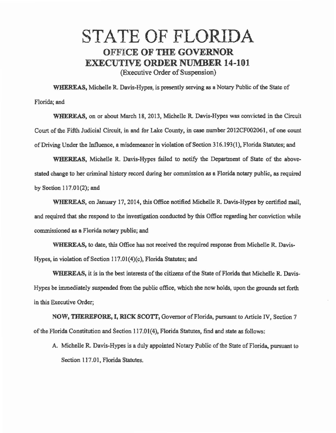## STATE OF FLORIDA OFFICE OF THE GOVERNOR EXECUTIVE ORDER NUMBER 14-101. (Executive Order of Suspension)

WHEREAS, Michelle R. Davis-Hypes, is presently serving as a Notary Public of the State of Florida; and

'WHEREAS, on or about March 18, 2013, Michelle R. Davis-Hypes was convicted in the Circuit Court of the Fifth Judicial Circuit, in and for Lake County, in case nwnber 2012CF002061, of one count of Driving Under the Influence, a misdemeanor in violation of Section 316.193(1), Florida Statutes; and

WHEREAS, Michelle R. Davis-Hypes failed to notify the Department of State of the abovestated change to her criminal history record during her commission as a Florida notary public, as required by Section 117.01(2); and

WHEREAS, on January 17, 2014, this Office notified Michelle R. Davis-Hypes by certified mail. and required that she respond to the investigation conducted by this Office regarding her conviction while commissioned as a Florida notary public; and

WHEREAS, to date, this Office has not received the required response from Michelle R. Davis-Hypes, in violation of Section l 17.01(4)(c), Florida Statutes; and

WHEREAS, it is in the best interests of the citizens of the State of Florida that Michelle R. Davis-Hypes be immediately suspended from the public office, which she now holds, upon the grounds set forth in this Executive Order;

NOW, THEREFORE, I, RICK SCOTT, Governor of Florida, pursuant to Article IV, Section 7 of the Florida Constitution and Section 117.01(4), Florida Statutes, find and state as follows:

A. Michelle R. Davis-Hypes is a duly appointed Notary Public of the State of Florida, pursuant to Section 117.01, Florida Statutes.